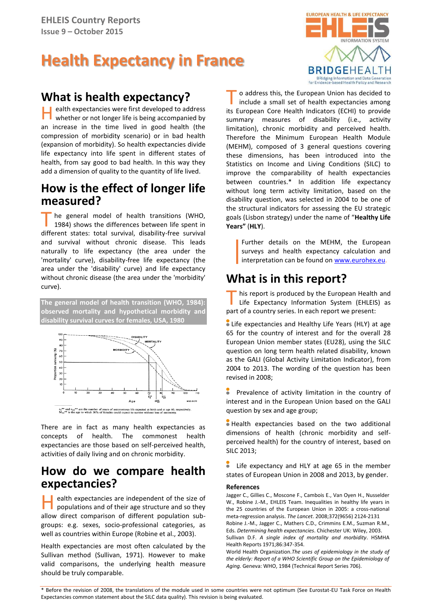# **Health Expectancy in France**

# **What is health expectancy?**

ealth expectancies were first developed to address whether or not longer life is being accompanied by an increase in the time lived in good health (the compression of morbidity scenario) or in bad health (expansion of morbidity). So health expectancies divide life expectancy into life spent in different states of health, from say good to bad health. In this way they add a dimension of quality to the quantity of life lived. H

### **How is the effect of longer life measured?**

he general model of health transitions (WHO, 1984) shows the differences between life spent in The general model of health transitions (WHO, 1984) shows the differences between life spent in different states: total survival, disability-free survival and survival without chronic disease. This leads naturally to life expectancy (the area under the 'mortality' curve), disability-free life expectancy (the area under the 'disability' curve) and life expectancy without chronic disease (the area under the 'morbidity' curve).

**The general model of health transition (WHO, 1984): observed mortality and hypothetical morbidity and disability survival curves for females, USA, 1980**



There are in fact as many health expectancies as concepts of health. The commonest health expectancies are those based on self-perceived health, activities of daily living and on chronic morbidity.

### **How do we compare health expectancies?**

ealth expectancies are independent of the size of populations and of their age structure and so they alth expectancies are independent of the size of<br>populations and of their age structure and so they<br>allow direct comparison of different population subgroups: e.g. sexes, socio-professional categories, as well as countries within Europe (Robine et al., 2003).

Health expectancies are most often calculated by the Sullivan method (Sullivan, 1971). However to make valid comparisons, the underlying health measure should be truly comparable.



o address this, the European Union has decided to include a small set of health expectancies among The address this, the European Union has decided to include a small set of health expectancies among its European Core Health Indicators (ECHI) to provide summary measures of disability (i.e., activity limitation), chronic morbidity and perceived health. Therefore the Minimum European Health Module (MEHM), composed of 3 general questions covering these dimensions, has been introduced into the Statistics on Income and Living Conditions (SILC) to improve the comparability of health expectancies between countries.\* In addition life expectancy without long term activity limitation, based on the disability question, was selected in 2004 to be one of the structural indicators for assessing the EU strategic goals (Lisbon strategy) under the name of "**Healthy Life Years"** (**HLY**).

Further details on the MEHM, the European surveys and health expectancy calculation and interpretation can be found on [www.eurohex.eu.](http://www.eurohex.eu/)

# **What is in this report?**

his report is produced by the European Health and Life Expectancy Information System (EHLEIS) as This report is produced by the European Health<br>Life Expectancy Information System (EHLEI:<br>part of a country series. In each report we present:

Life expectancies and Healthy Life Years (HLY) at age 65 for the country of interest and for the overall 28 European Union member states (EU28), using the SILC question on long term health related disability, known as the GALI (Global Activity Limitation Indicator), from 2004 to 2013. The wording of the question has been revised in 2008;

Prevalence of activity limitation in the country of interest and in the European Union based on the GALI question by sex and age group;

Health expectancies based on the two additional dimensions of health (chronic morbidity and selfperceived health) for the country of interest, based on SILC 2013;

Life expectancy and HLY at age 65 in the member states of European Union in 2008 and 2013, by gender.

#### **References**

Jagger C., Gillies C., Moscone F., Cambois E., Van Oyen H., Nusselder W., Robine J.-M., EHLEIS Team. Inequalities in healthy life years in the 25 countries of the European Union in 2005: a cross-national meta-regression analysis. *The Lancet*. 200[8;372\(9656\)](http://www.thelancet.com/journals/lancet/issue/vol372no9656/PIIS0140-6736(08)X6054-4) 2124-2131 Robine J.-M., Jagger C., Mathers C.D., Crimmins E.M., Suzman R.M., Eds. *Determining health expectancies*. Chichester UK: Wiley, 2003. Sullivan D.F. *A single index of mortality and morbidity*. HSMHA Health Reports 1971;86:347-354.

World Health Organization.*The uses of epidemiology in the study of the elderly: Report of a WHO Scientific Group on the Epidemiology of Aging.* Geneva: WHO, 1984 (Technical Report Series 706).

\* Before the revision of 2008, the translations of the module used in some countries were not optimum (See Eurostat-EU Task Force on Health Expectancies common statement about the SILC data quality). This revision is being evaluated.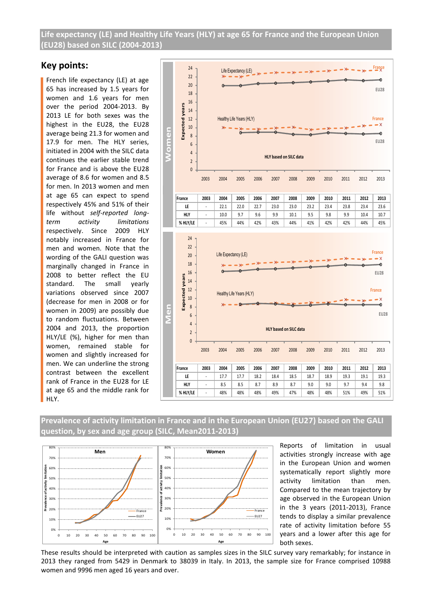**Life expectancy (LE) and Healthy Life Years (HLY) at age 65 for France and the European Union (EU28) based on SILC (2004-2013)**

### **Key points:**

French life expectancy (LE) at age 65 has increased by 1.5 years for women and 1.6 years for men over the period 2004-2013. By 2013 LE for both sexes was the highest in the EU28, the EU28 average being 21.3 for women and 17.9 for men. The HLY series, initiated in 2004 with the SILC data continues the earlier stable trend for France and is above the EU28 average of 8.6 for women and 8.5 for men. In 2013 women and men at age 65 can expect to spend respectively 45% and 51% of their life without *self-reported longterm activity limitations*  respectively. Since 2009 HLY notably increased in France for men and women. Note that the wording of the GALI question was marginally changed in France in 2008 to better reflect the EU standard. The small yearly variations observed since 2007 (decrease for men in 2008 or for women in 2009) are possibly due to random fluctuations. Between 2004 and 2013, the proportion HLY/LE (%), higher for men than women, remained stable for women and slightly increased for men. We can underline the strong contrast between the excellent rank of France in the EU28 for LE at age 65 and the middle rank for HLY.



**Prevalence of activity limitation in France and in the European Union (EU27) based on the GALI question, by sex and age group (SILC, Mean2011-2013)**



Reports of limitation in usual activities strongly increase with age in the European Union and women systematically report slightly more activity limitation than men. Compared to the mean trajectory by age observed in the European Union in the 3 years (2011-2013), France tends to display a similar prevalence rate of activity limitation before 55 years and a lower after this age for both sexes.

These results should be interpreted with caution as samples sizes in the SILC survey vary remarkably; for instance in 2013 they ranged from 5429 in Denmark to 38039 in Italy. In 2013, the sample size for France comprised 10988 women and 9996 men aged 16 years and over.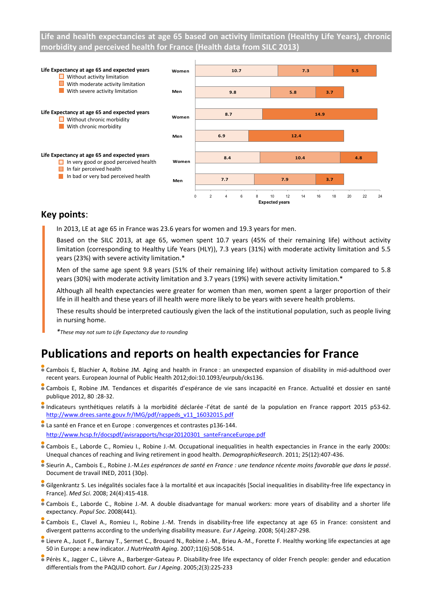**Life and health expectancies at age 65 based on activity limitation (Healthy Life Years), chronic morbidity and perceived health for France (Health data from SILC 2013)**



### **Key points**:

In 2013, LE at age 65 in France was 23.6 years for women and 19.3 years for men.

Based on the SILC 2013, at age 65, women spent 10.7 years (45% of their remaining life) without activity limitation (corresponding to Healthy Life Years (HLY)), 7.3 years (31%) with moderate activity limitation and 5.5 years (23%) with severe activity limitation.\*

Men of the same age spent 9.8 years (51% of their remaining life) without activity limitation compared to 5.8 years (30%) with moderate activity limitation and 3.7 years (19%) with severe activity limitation.\*

Although all health expectancies were greater for women than men, women spent a larger proportion of their life in ill health and these years of ill health were more likely to be years with severe health problems.

These results should be interpreted cautiously given the lack of the institutional population, such as people living in nursing home.

*\*These may not sum to Life Expectancy due to rounding*

# **Publications and reports on health expectancies for France**

- Cambois E, Blachier A, Robine JM. Aging and health in France : an unexpected expansion of disability in mid-adulthood over recent years. European Journal of Public Health 2012;doi:10.1093/eurpub/cks136.
- Cambois E, Robine JM. Tendances et disparités d'espérance de vie sans incapacité en France. Actualité et dossier en santé publique 2012, 80 :28-32.
- Indicateurs synthétiques relatifs à la morbidité déclarée-l'état de santé de la population en France rapport 2015 p53-62. [http://www.drees.sante.gouv.fr/IMG/pdf/rappeds\\_v11\\_16032015.pdf](http://www.drees.sante.gouv.fr/IMG/pdf/rappeds_v11_16032015.pdf)
- La santé en France et en Europe : convergences et contrastes p136-144. [http://www.hcsp.fr/docspdf/avisrapports/hcspr20120301\\_santeFranceEurope.pdf](http://www.hcsp.fr/docspdf/avisrapports/hcspr20120301_santeFranceEurope.pdf)
- Cambois E., Laborde C., Romieu I., Robine J.-M. Occupational inequalities in health expectancies in France in the early 2000s: Unequal chances of reaching and living retirement in good health. *DemographicResearch*. 2011; 25(12):407-436.
- Sieurin A., Cambois E., Robine J.-M.*Les espérances de santé en France : une tendance récente moins favorable que dans le passé*. Document de travail INED, 2011 (30p).
- Gilgenkrantz S. Les inégalités sociales face à la mortalité et aux incapacités [Social inequalities in disability-free life expectancy in France]. *Med Sci*. 2008; 24(4):415-418.
- Cambois E., Laborde C., Robine J.-M. A double disadvantage for manual workers: more years of disability and a shorter life expectancy. *Popul Soc*. 2008(441).
- Cambois E., Clavel A., Romieu I., Robine J.-M. Trends in disability-free life expectancy at age 65 in France: consistent and divergent patterns according to the underlying disability measure. *Eur J Ageing*. 2008; 5(4):287-298.
- Lievre A., Jusot F., Barnay T., Sermet C., Brouard N., Robine J.-M., Brieu A.-M., Forette F. Healthy working life expectancies at age 50 in Europe: a new indicator. *J NutrHealth Aging*. 2007;11(6):508-514.
- Pérès K., Jagger C., Lièvre A., Barberger-Gateau P. Disability-free life expectancy of older French people: gender and education differentials from the PAQUID cohort. *Eur J Ageing*. 2005;2(3):225-233